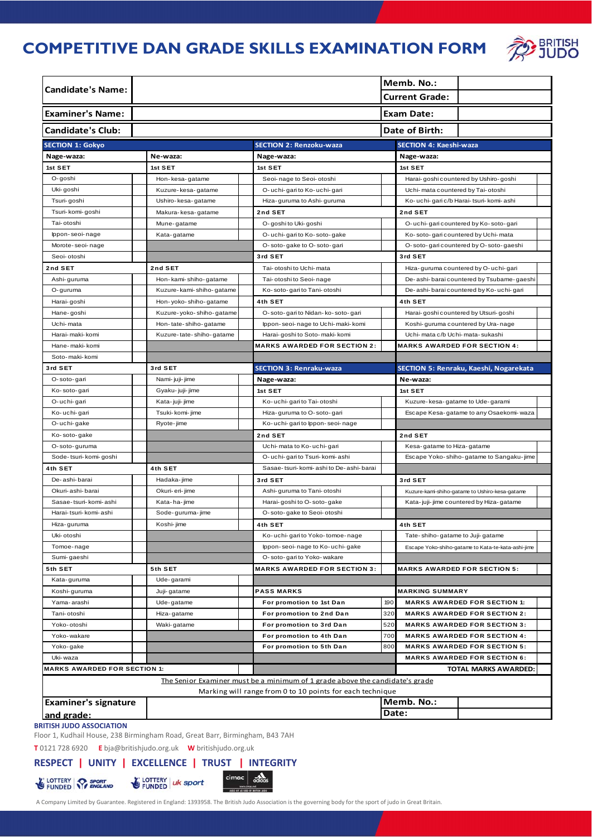# **COMPETITIVE DAN GRADE SKILLS EXAMINATION FORM**



| <b>Candidate's Name:</b>                                                                                                                  |                          |                                       |         | Memb. No.:<br><b>Current Grade:</b>                |  |  |  |
|-------------------------------------------------------------------------------------------------------------------------------------------|--------------------------|---------------------------------------|---------|----------------------------------------------------|--|--|--|
| <b>Examiner's Name:</b>                                                                                                                   | Exam Date:               |                                       |         |                                                    |  |  |  |
| <b>Candidate's Club:</b><br>Date of Birth:                                                                                                |                          |                                       |         |                                                    |  |  |  |
| <b>SECTION 1: Gokyo</b>                                                                                                                   |                          | <b>SECTION 2: Renzoku-waza</b>        |         | <b>SECTION 4: Kaeshi-waza</b>                      |  |  |  |
| Nage-waza:                                                                                                                                | Ne-waza:                 | Nage-waza:                            |         | Nage-waza:                                         |  |  |  |
| 1st SET                                                                                                                                   | 1st SET                  | 1st SET                               |         | 1st SET                                            |  |  |  |
| O-goshi                                                                                                                                   | Hon-kesa-gatame          | Seoi- nage to Seoi- otoshi            |         | Harai-goshi countered by Ushiro-goshi              |  |  |  |
| Uki-goshi                                                                                                                                 | Kuzure-kesa-gatame       | O- uchi-garito Ko- uchi-gari          |         | Uchi-mata countered by Tai-otoshi                  |  |  |  |
| Tsuri-goshi                                                                                                                               | Ushiro-kesa-gatame       | Hiza-guruma to Ashi-guruma            |         | Ko- uchi- gari c/b Harai- tsuri- komi- ashi        |  |  |  |
| Tsuri-komi-goshi                                                                                                                          | Makura-kesa-gatame       | 2nd SET                               |         | 2nd SET                                            |  |  |  |
| Tai- otoshi                                                                                                                               | Mune-gatame              | O-goshi to Uki-goshi                  |         | O- uchi-gari countered by Ko-soto-gari             |  |  |  |
| lppon-seoi-nage                                                                                                                           | Kata-gatame              | O- uchi-garito Ko-soto-gake           |         | Ko-soto-garicountered by Uchi-mata                 |  |  |  |
| Morote-seoi-nage                                                                                                                          |                          | O-soto-gake to O-soto-gari            |         | O-soto-garicountered by O-soto-gaeshi              |  |  |  |
| Seoi-otoshi                                                                                                                               |                          | 3rd SET                               |         | 3rd SET                                            |  |  |  |
| 2nd SET                                                                                                                                   | 2nd SET                  | Tai- otoshi to Uchi- mata             |         | Hiza-guruma countered by O- uchi-gari              |  |  |  |
| Ashi-guruma                                                                                                                               | Hon-kami-shiho-gatame    | Tai-otoshi to Seoi-nage               |         | De-ashi-barai countered by Tsubame-gaeshi          |  |  |  |
| O-guruma                                                                                                                                  | Kuzure-kami-shiho-gatame | Ko-soto-garito Tani-otoshi            |         | De-ashi-barai countered by Ko-uchi-gari            |  |  |  |
| Harai-goshi                                                                                                                               | Hon-yoko-shiho-gatame    | 4th SET                               |         | 4th SET                                            |  |  |  |
| Hane-goshi                                                                                                                                | Kuzure-yoko-shiho-gatame | O-soto-gari to Nidan-ko-soto-gari     |         | Harai-goshi countered by Utsuri-goshi              |  |  |  |
| Uchi-mata                                                                                                                                 | Hon-tate-shiho-gatame    | Ippon-seoi- nage to Uchi- maki- komi  |         | Koshi-guruma countered by Ura-nage                 |  |  |  |
| Harai- maki- komi                                                                                                                         | Kuzure-tate-shiho-gatame | Harai-goshi to Soto-maki-komi         |         | Uchi-mata c/b Uchi-mata-sukashi                    |  |  |  |
| Hane-maki-komi                                                                                                                            |                          | <b>MARKS AWARDED FOR SECTION 2:</b>   |         | <b>MARKS AWARDED FOR SECTION 4:</b>                |  |  |  |
| Soto-maki-komi                                                                                                                            |                          |                                       |         |                                                    |  |  |  |
| 3rd SET                                                                                                                                   | 3rd SET                  | <b>SECTION 3: Renraku-waza</b>        |         | SECTION 5: Renraku, Kaeshi, Nogarekata             |  |  |  |
| O-soto-gari                                                                                                                               | Nami- juji- jime         | Nage-waza:                            |         | Ne-waza:                                           |  |  |  |
| Ko-soto-gari                                                                                                                              | Gyaku- juji- jime        | 1st SET                               |         | 1st SET                                            |  |  |  |
| O-uchi-gari                                                                                                                               | Kata-juji-jime           | Ko- uchi-gari to Tai- otoshi          |         | Kuzure-kesa-gatame to Ude-garami                   |  |  |  |
| Ko-uchi-gari                                                                                                                              | Tsuki-komi-jime          | Hiza-guruma to O-soto-gari            |         | Escape Kesa-gatame to any Osaekomi-waza            |  |  |  |
| O-uchi-gake                                                                                                                               | Ryote-jime               | Ko-uchi-garito Ippon-seoi-nage        |         |                                                    |  |  |  |
| Ko-soto-gake                                                                                                                              |                          | 2nd SET                               |         | 2nd SET                                            |  |  |  |
| O-soto-guruma                                                                                                                             |                          | Uchi-mata to Ko-uchi-gari             |         | Kesa-gatame to Hiza-gatame                         |  |  |  |
| Sode-tsuri-komi-goshi                                                                                                                     |                          | O- uchi- gari to Tsuri- komi- ashi    |         | Escape Yoko-shiho-gatame to Sangaku-jime           |  |  |  |
| 4th SET                                                                                                                                   | 4th SET                  | Sasae-tsuri-komi-ashito De-ashi-barai |         |                                                    |  |  |  |
| De-ashi-barai                                                                                                                             | Hadaka-jime              | 3rd SET                               | 3rd SET |                                                    |  |  |  |
| Okuri-ashi-barai                                                                                                                          | Okuri- eri- jime         | Ashi-guruma to Tani-otoshi            |         | Kuzure-kami-shiho-gatame to Ushiro-kesa-gatame     |  |  |  |
| Sasae-tsuri-komi-ashi                                                                                                                     | Kata-ha-jime             | Harai-goshito O-soto-gake             |         | Kata-juji-jime countered by Hiza-gatame            |  |  |  |
| Harai-tsuri-komi-ashi                                                                                                                     | Sode-guruma-jime         | O-soto-gake to Seoi-otoshi            |         |                                                    |  |  |  |
| Hiza-guruma                                                                                                                               | Koshi-jime               | 4th SET                               |         | 4th SET                                            |  |  |  |
| Uki- otoshi                                                                                                                               |                          | Ko-uchi-garito Yoko-tomoe-nage        |         | Tate-shiho-gatame to Juji-gatame                   |  |  |  |
| Tomoe-nage                                                                                                                                |                          | Ippon-seoi-nage to Ko-uchi-gake       |         | Escape Yoko-shiho-gatame to Kata-te-kata-ashi-jime |  |  |  |
| Sumi-gaeshi                                                                                                                               |                          | O-soto-garito Yoko-wakare             |         |                                                    |  |  |  |
| 5th SET                                                                                                                                   | 5th SET                  | <b>MARKS AWARDED FOR SECTION 3:</b>   |         | <b>MARKS AWARDED FOR SECTION 5:</b>                |  |  |  |
| Kata-guruma                                                                                                                               | Ude-garami               |                                       |         |                                                    |  |  |  |
| Koshi-guruma                                                                                                                              | Juji-gatame              | <b>PASS MARKS</b>                     |         | <b>MARKING SUMMARY</b>                             |  |  |  |
| Yama-arashi                                                                                                                               | Ude-gatame               | For promotion to 1st Dan              | 190     | <b>MARKS AWARDED FOR SECTION 1:</b>                |  |  |  |
| Tani- otoshi                                                                                                                              | Hiza-gatame              | For promotion to 2nd Dan              | 320     | <b>MARKS AWARDED FOR SECTION 2:</b>                |  |  |  |
| Yoko-otoshi                                                                                                                               | Waki-gatame              | For promotion to 3rd Dan              | 520     | <b>MARKS AWARDED FOR SECTION 3:</b>                |  |  |  |
| Yoko-wakare                                                                                                                               |                          | For promotion to 4th Dan              | 700     | <b>MARKS AWARDED FOR SECTION 4:</b>                |  |  |  |
| Yoko-gake                                                                                                                                 |                          | For promotion to 5th Dan              | 800     | <b>MARKS AWARDED FOR SECTION 5:</b>                |  |  |  |
| Uki-waza                                                                                                                                  |                          |                                       |         | <b>MARKS AWARDED FOR SECTION 6:</b>                |  |  |  |
| <b>MARKS AWARDED FOR SECTION 1:</b>                                                                                                       |                          |                                       |         | TOTAL MARKS AWARDED:                               |  |  |  |
| The Senior Examiner must be a minimum of 1 grade above the candidate's grade<br>Marking will range from 0 to 10 points for each technique |                          |                                       |         |                                                    |  |  |  |
| <b>Examiner's signature</b>                                                                                                               |                          |                                       |         | Memb. No.:                                         |  |  |  |
| and grade:                                                                                                                                |                          |                                       | Date:   |                                                    |  |  |  |
|                                                                                                                                           |                          |                                       |         |                                                    |  |  |  |

**BRITISH JUDO ASSOCIATION**

Floor 1, Kudhail House, 238 Birmingham Road, Great Barr, Birmingham, B43 7AH **T** 0121 728 6920 **E** bja@britishjudo.org.uk **W** britishjudo.org.uk

# **RESPECT | UNITY | EXCELLENCE | TRUST | INTEGRITY**

A Company Limited by Guarantee. Registered in England: 1393958. The British Judo Association is the governing body for the sport of judo in Great Britain.<br>A Company Limited by Guarantee. Registered in England: 1393958. The

 $|$  cimac  $|$ 

cidas